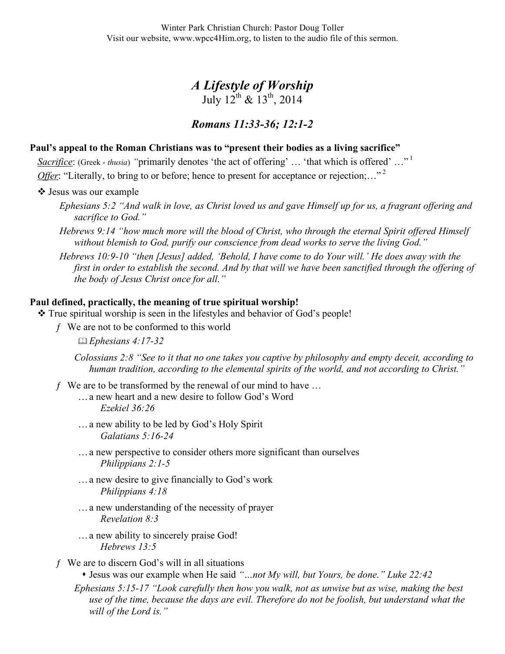Winter Park Christian Church: Pastor Doug Toller Visit our website, www.wpcc4Him.org, to listen to the audio file of this sermon.

# *A Lifestyle of Worship*  July  $12^{th}$  &  $13^{th}$ , 2014

## *Romans 11:33-36; 12:1-2*

#### **Paul's appeal to the Roman Christians was to "present their bodies as a living sacrifice"**

*Sacrifice*: (Greek - *thusia*) "primarily denotes 'the act of offering' ... 'that which is offered' ..."<sup>1</sup> *Offer*: "Literally, to bring to or before; hence to present for acceptance or rejection;..."<sup>2</sup>

- Jesus was our example
	- *Ephesians 5:2 "And walk in love, as Christ loved us and gave Himself up for us, a fragrant offering and sacrifice to God."*
	- *Hebrews 9:14 "how much more will the blood of Christ, who through the eternal Spirit offered Himself without blemish to God, purify our conscience from dead works to serve the living God."*

*Hebrews 10:9-10 "then [Jesus] added, 'Behold, I have come to do Your will.' He does away with the first in order to establish the second. And by that will we have been sanctified through the offering of the body of Jesus Christ once for all."*

#### **Paul defined, practically, the meaning of true spiritual worship!**

- True spiritual worship is seen in the lifestyles and behavior of God's people!
	- ƒ We are not to be conformed to this world

*Ephesians 4:17-32*

*Colossians 2:8 "See to it that no one takes you captive by philosophy and empty deceit, according to human tradition, according to the elemental spirits of the world, and not according to Christ."*

- $f$  We are to be transformed by the renewal of our mind to have ...
	- …a new heart and a new desire to follow God's Word *Ezekiel 36:26*
	- …a new ability to be led by God's Holy Spirit *Galatians 5:16-24*
	- …a new perspective to consider others more significant than ourselves *Philippians 2:1-5*
	- …a new desire to give financially to God's work *Philippians 4:18*
	- …a new understanding of the necessity of prayer *Revelation 8:3*
	- …a new ability to sincerely praise God! *Hebrews 13:5*
- $f$  We are to discern God's will in all situations
	- Jesus was our example when He said *"…not My will, but Yours, be done." Luke 22:42*

*Ephesians 5:15-17 "Look carefully then how you walk, not as unwise but as wise, making the best use of the time, because the days are evil. Therefore do not be foolish, but understand what the will of the Lord is."*